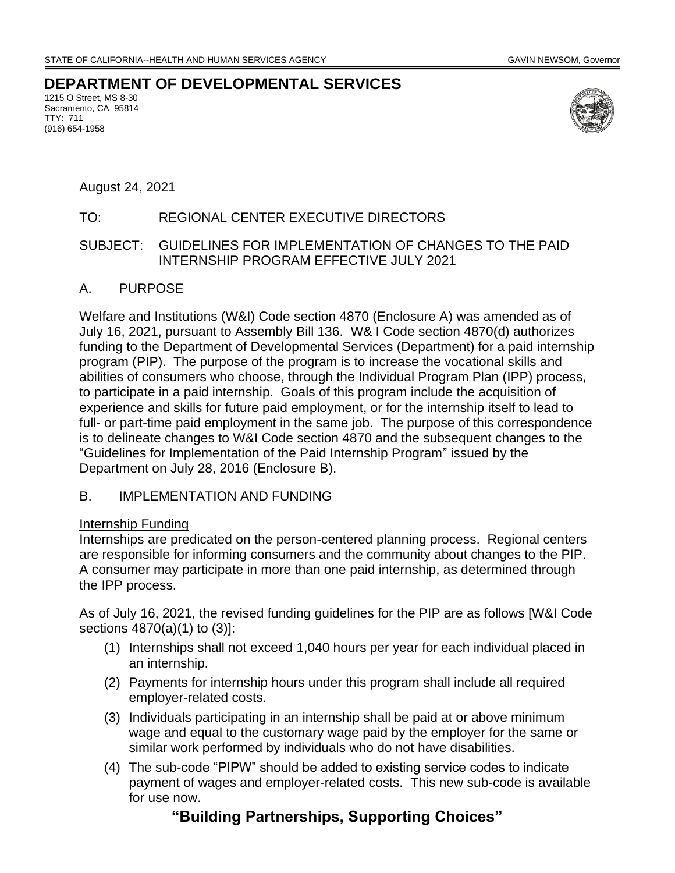**DEPARTMENT OF DEVELOPMENTAL SERVICES**

1215 O Street, MS 8-30 Sacramento, CA 95814 TTY: 711 (916) 654-1958



August 24, 2021

## TO: REGIONAL CENTER EXECUTIVE DIRECTORS

## SUBJECT: GUIDELINES FOR IMPLEMENTATION OF CHANGES TO THE PAID INTERNSHIP PROGRAM EFFECTIVE JULY 2021

A. PURPOSE

Welfare and Institutions (W&I) Code section 4870 (Enclosure A) was amended as of July 16, 2021, pursuant to Assembly Bill 136. W& I Code section 4870(d) authorizes funding to the Department of Developmental Services (Department) for a paid internship program (PIP). The purpose of the program is to increase the vocational skills and abilities of consumers who choose, through the Individual Program Plan (IPP) process, to participate in a paid internship. Goals of this program include the acquisition of experience and skills for future paid employment, or for the internship itself to lead to full- or part-time paid employment in the same job. The purpose of this correspondence is to delineate changes to W&I Code section 4870 and the subsequent changes to the "Guidelines for Implementation of the Paid Internship Program" issued by the Department on July 28, 2016 (Enclosure B).

#### B. IMPLEMENTATION AND FUNDING

#### Internship Funding

Internships are predicated on the person-centered planning process. Regional centers are responsible for informing consumers and the community about changes to the PIP. A consumer may participate in more than one paid internship, as determined through the IPP process.

As of July 16, 2021, the revised funding guidelines for the PIP are as follows [W&I Code sections 4870(a)(1) to (3)]:

- (1) Internships shall not exceed 1,040 hours per year for each individual placed in an internship.
- (2) Payments for internship hours under this program shall include all required employer-related costs.
- (3) Individuals participating in an internship shall be paid at or above minimum wage and equal to the customary wage paid by the employer for the same or similar work performed by individuals who do not have disabilities.
- (4) The sub-code "PIPW" should be added to existing service codes to indicate payment of wages and employer-related costs. This new sub-code is available for use now.

# **"Building Partnerships, Supporting Choices"**